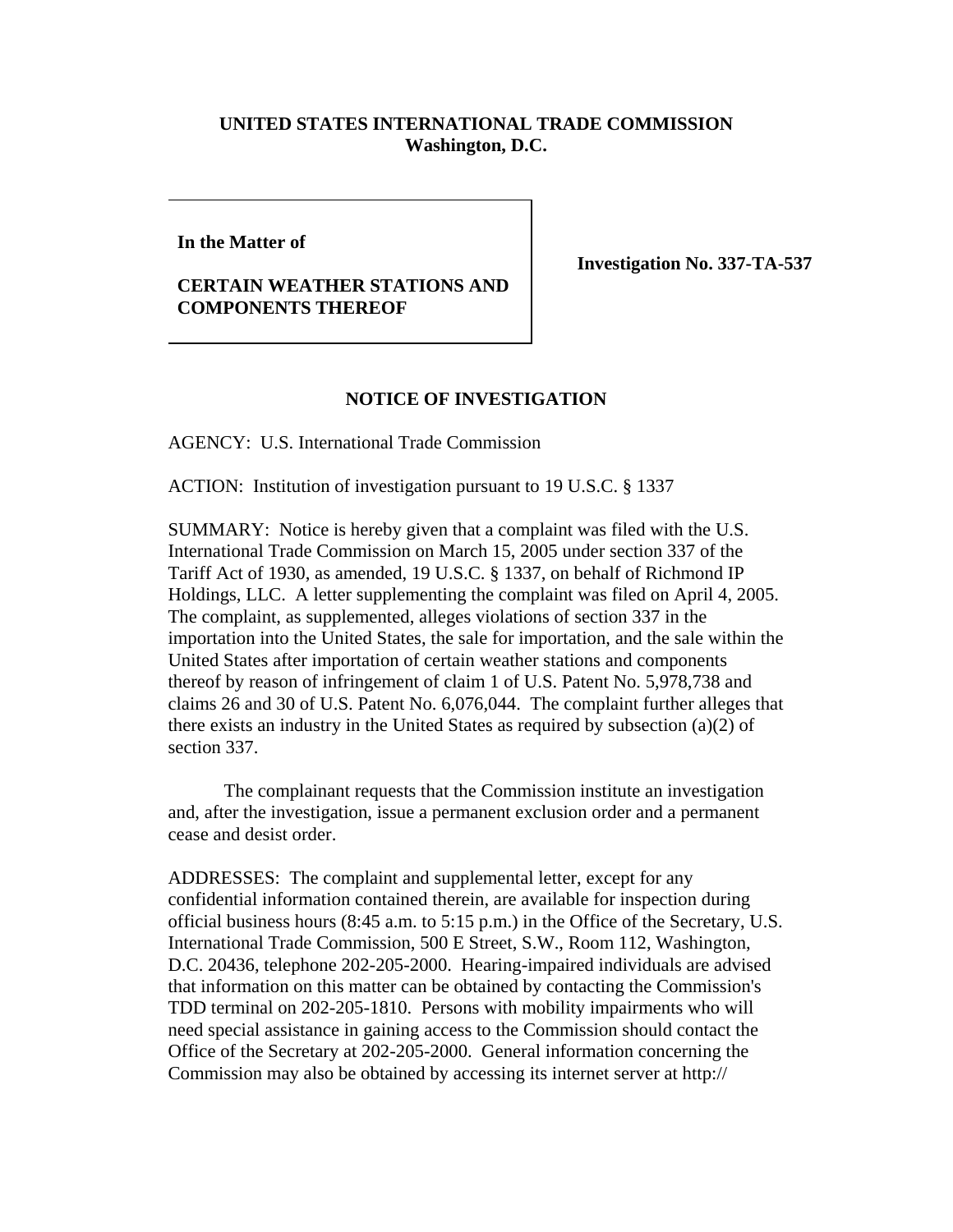## **UNITED STATES INTERNATIONAL TRADE COMMISSION Washington, D.C.**

**In the Matter of**

## **CERTAIN WEATHER STATIONS AND COMPONENTS THEREOF**

**Investigation No. 337-TA-537** 

## **NOTICE OF INVESTIGATION**

AGENCY: U.S. International Trade Commission

ACTION: Institution of investigation pursuant to 19 U.S.C. § 1337

SUMMARY: Notice is hereby given that a complaint was filed with the U.S. International Trade Commission on March 15, 2005 under section 337 of the Tariff Act of 1930, as amended, 19 U.S.C. § 1337, on behalf of Richmond IP Holdings, LLC. A letter supplementing the complaint was filed on April 4, 2005. The complaint, as supplemented, alleges violations of section 337 in the importation into the United States, the sale for importation, and the sale within the United States after importation of certain weather stations and components thereof by reason of infringement of claim 1 of U.S. Patent No. 5,978,738 and claims 26 and 30 of U.S. Patent No. 6,076,044. The complaint further alleges that there exists an industry in the United States as required by subsection (a)(2) of section 337.

The complainant requests that the Commission institute an investigation and, after the investigation, issue a permanent exclusion order and a permanent cease and desist order.

ADDRESSES: The complaint and supplemental letter, except for any confidential information contained therein, are available for inspection during official business hours (8:45 a.m. to 5:15 p.m.) in the Office of the Secretary, U.S. International Trade Commission, 500 E Street, S.W., Room 112, Washington, D.C. 20436, telephone 202-205-2000. Hearing-impaired individuals are advised that information on this matter can be obtained by contacting the Commission's TDD terminal on 202-205-1810. Persons with mobility impairments who will need special assistance in gaining access to the Commission should contact the Office of the Secretary at 202-205-2000. General information concerning the Commission may also be obtained by accessing its internet server at http://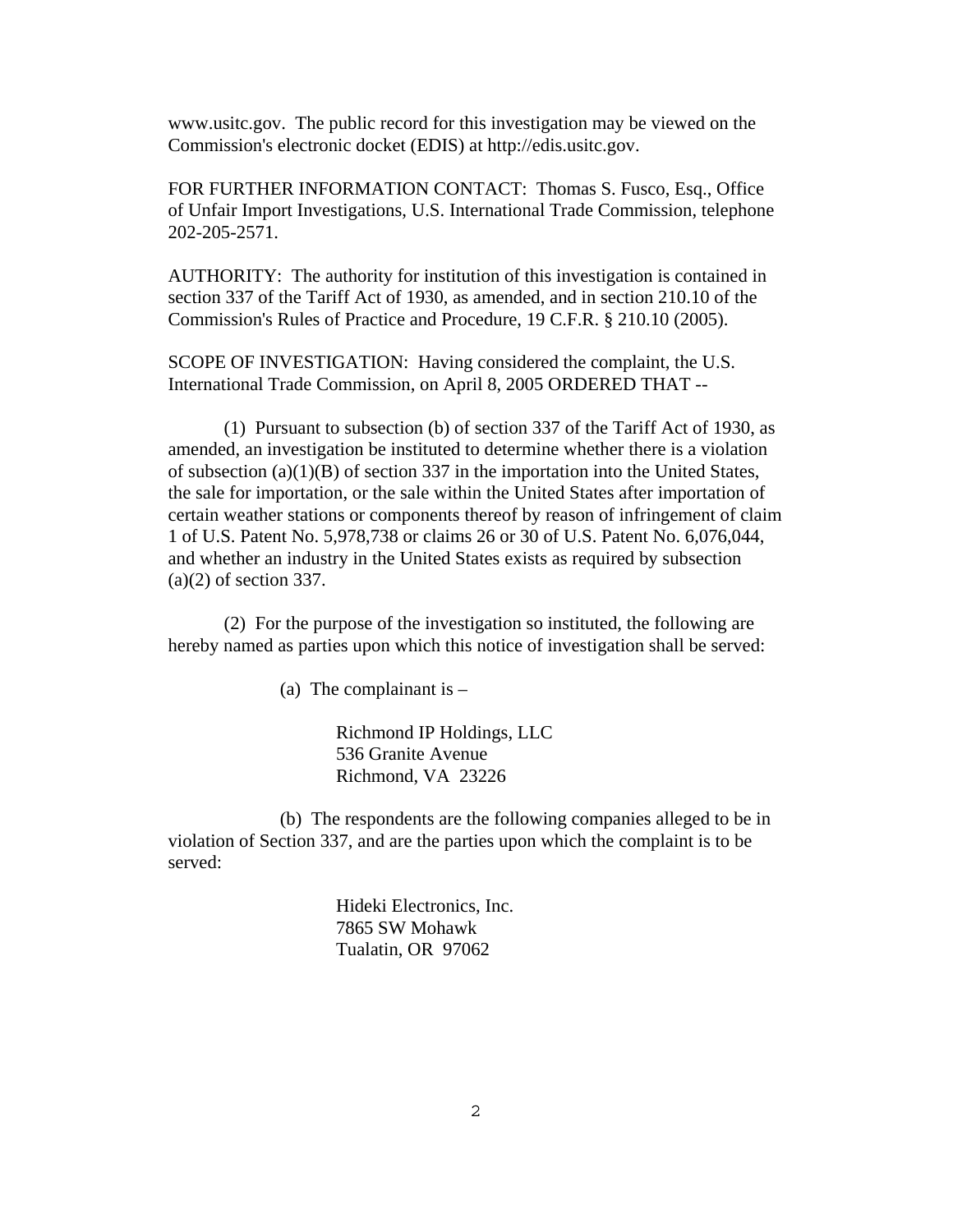www.usitc.gov. The public record for this investigation may be viewed on the Commission's electronic docket (EDIS) at http://edis.usitc.gov.

FOR FURTHER INFORMATION CONTACT: Thomas S. Fusco, Esq., Office of Unfair Import Investigations, U.S. International Trade Commission, telephone 202-205-2571.

AUTHORITY: The authority for institution of this investigation is contained in section 337 of the Tariff Act of 1930, as amended, and in section 210.10 of the Commission's Rules of Practice and Procedure, 19 C.F.R. § 210.10 (2005).

SCOPE OF INVESTIGATION: Having considered the complaint, the U.S. International Trade Commission, on April 8, 2005 ORDERED THAT --

(1) Pursuant to subsection (b) of section 337 of the Tariff Act of 1930, as amended, an investigation be instituted to determine whether there is a violation of subsection  $(a)(1)(B)$  of section 337 in the importation into the United States, the sale for importation, or the sale within the United States after importation of certain weather stations or components thereof by reason of infringement of claim 1 of U.S. Patent No. 5,978,738 or claims 26 or 30 of U.S. Patent No. 6,076,044, and whether an industry in the United States exists as required by subsection (a)(2) of section 337.

(2) For the purpose of the investigation so instituted, the following are hereby named as parties upon which this notice of investigation shall be served:

(a) The complainant is  $-$ 

Richmond IP Holdings, LLC 536 Granite Avenue Richmond, VA 23226

(b) The respondents are the following companies alleged to be in violation of Section 337, and are the parties upon which the complaint is to be served:

> Hideki Electronics, Inc. 7865 SW Mohawk Tualatin, OR 97062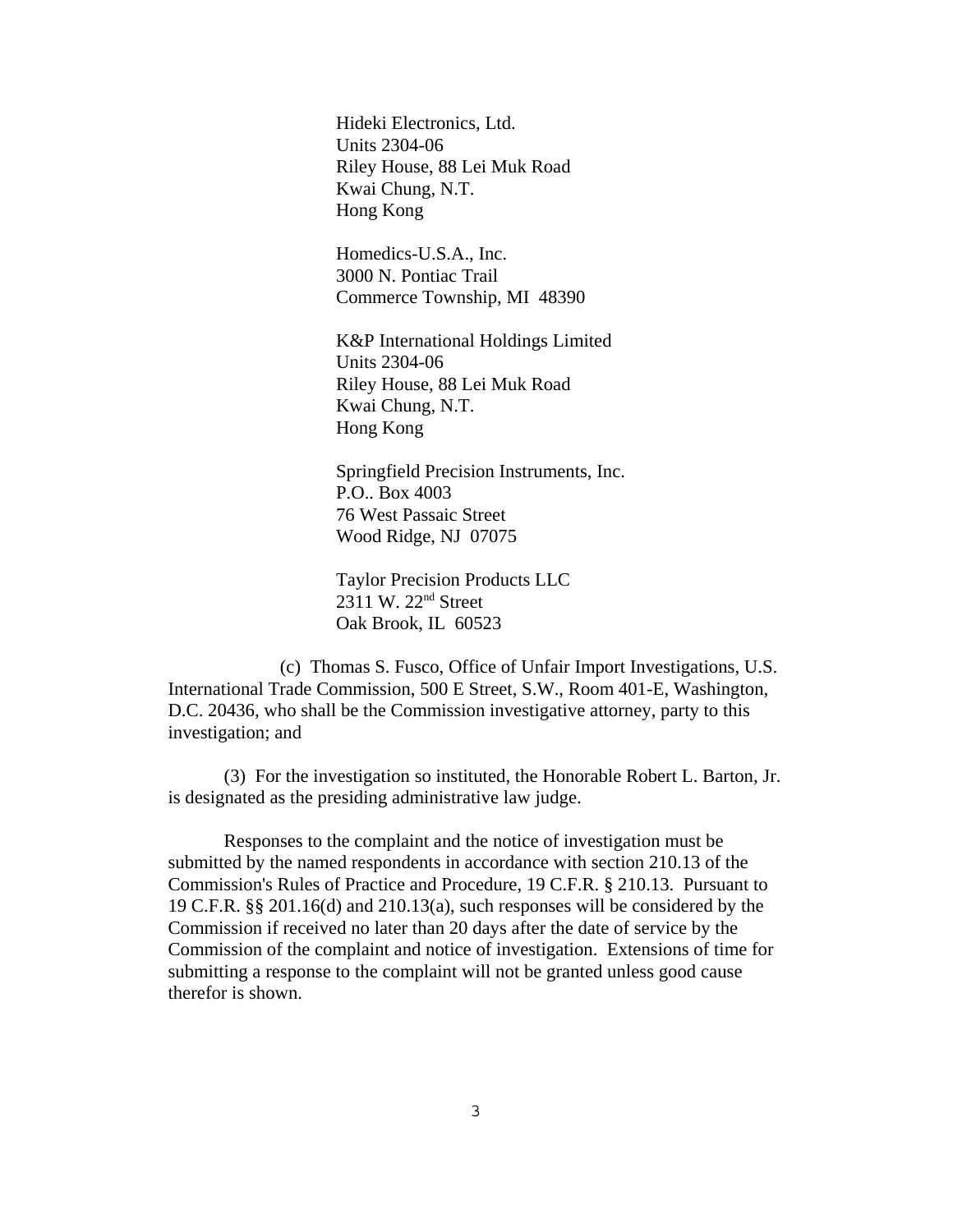Hideki Electronics, Ltd. Units 2304-06 Riley House, 88 Lei Muk Road Kwai Chung, N.T. Hong Kong

Homedics-U.S.A., Inc. 3000 N. Pontiac Trail Commerce Township, MI 48390

K&P International Holdings Limited Units 2304-06 Riley House, 88 Lei Muk Road Kwai Chung, N.T. Hong Kong

Springfield Precision Instruments, Inc. P.O.. Box 4003 76 West Passaic Street Wood Ridge, NJ 07075

Taylor Precision Products LLC 2311 W. 22nd Street Oak Brook, IL 60523

(c) Thomas S. Fusco, Office of Unfair Import Investigations, U.S. International Trade Commission, 500 E Street, S.W., Room 401-E, Washington, D.C. 20436, who shall be the Commission investigative attorney, party to this investigation; and

 (3) For the investigation so instituted, the Honorable Robert L. Barton, Jr. is designated as the presiding administrative law judge.

Responses to the complaint and the notice of investigation must be submitted by the named respondents in accordance with section 210.13 of the Commission's Rules of Practice and Procedure, 19 C.F.R. § 210.13. Pursuant to 19 C.F.R. §§ 201.16(d) and 210.13(a), such responses will be considered by the Commission if received no later than 20 days after the date of service by the Commission of the complaint and notice of investigation. Extensions of time for submitting a response to the complaint will not be granted unless good cause therefor is shown.